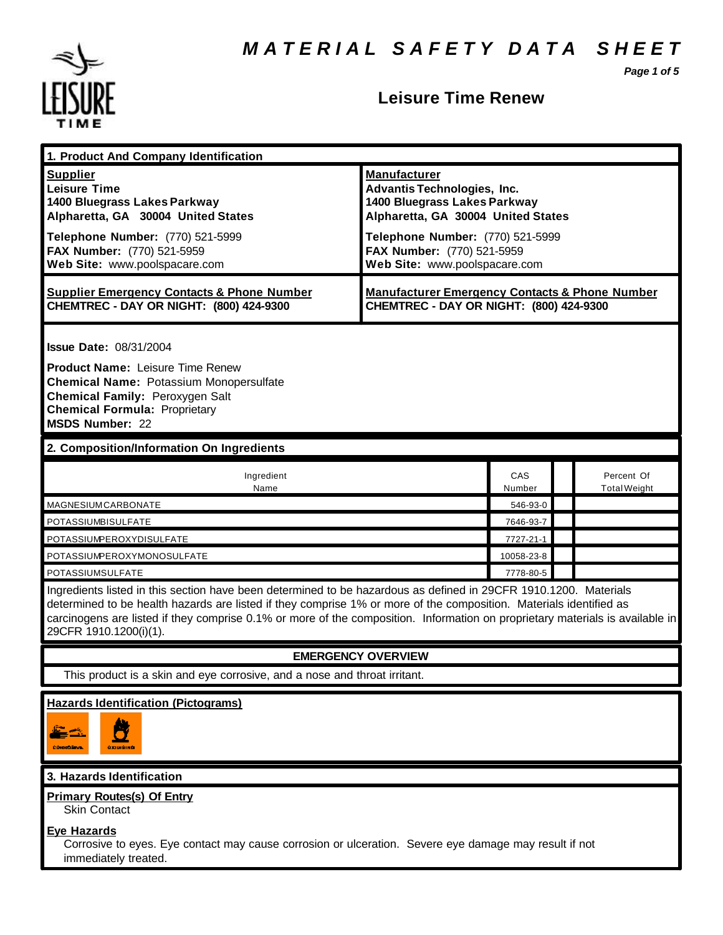*M A T E R I A L S A F E T Y D A T A S H E E T*

*Page 1 of 5*



# **Leisure Time Renew**

| 1. Product And Company Identification                                                                                                                                                                                                                                                                                                                                                             |                                                                                                                                                                                                                                    |               |  |                                   |
|---------------------------------------------------------------------------------------------------------------------------------------------------------------------------------------------------------------------------------------------------------------------------------------------------------------------------------------------------------------------------------------------------|------------------------------------------------------------------------------------------------------------------------------------------------------------------------------------------------------------------------------------|---------------|--|-----------------------------------|
| <b>Supplier</b><br><b>Leisure Time</b><br>1400 Bluegrass Lakes Parkway<br>Alpharetta, GA 30004 United States<br>Telephone Number: (770) 521-5999<br>FAX Number: (770) 521-5959<br>Web Site: www.poolspacare.com                                                                                                                                                                                   | <b>Manufacturer</b><br><b>Advantis Technologies, Inc.</b><br>1400 Bluegrass Lakes Parkway<br>Alpharetta, GA 30004 United States<br>Telephone Number: (770) 521-5999<br>FAX Number: (770) 521-5959<br>Web Site: www.poolspacare.com |               |  |                                   |
| <b>Supplier Emergency Contacts &amp; Phone Number</b><br>CHEMTREC - DAY OR NIGHT: (800) 424-9300                                                                                                                                                                                                                                                                                                  | <b>Manufacturer Emergency Contacts &amp; Phone Number</b><br>CHEMTREC - DAY OR NIGHT: (800) 424-9300                                                                                                                               |               |  |                                   |
| <b>Issue Date: 08/31/2004</b><br><b>Product Name: Leisure Time Renew</b><br><b>Chemical Name: Potassium Monopersulfate</b><br>Chemical Family: Peroxygen Salt<br><b>Chemical Formula: Proprietary</b><br><b>MSDS Number: 22</b>                                                                                                                                                                   |                                                                                                                                                                                                                                    |               |  |                                   |
| 2. Composition/Information On Ingredients                                                                                                                                                                                                                                                                                                                                                         |                                                                                                                                                                                                                                    |               |  |                                   |
| Ingredient<br>Name                                                                                                                                                                                                                                                                                                                                                                                |                                                                                                                                                                                                                                    | CAS<br>Number |  | Percent Of<br><b>Total Weight</b> |
| MAGNESIUMCARBONATE                                                                                                                                                                                                                                                                                                                                                                                |                                                                                                                                                                                                                                    | 546-93-0      |  |                                   |
| POTASSIUMBISULFATE                                                                                                                                                                                                                                                                                                                                                                                |                                                                                                                                                                                                                                    | 7646-93-7     |  |                                   |
| POTASSIUMPEROXYDISULFATE                                                                                                                                                                                                                                                                                                                                                                          |                                                                                                                                                                                                                                    | 7727-21-1     |  |                                   |
| POTASSIUMPEROXYMONOSULFATE                                                                                                                                                                                                                                                                                                                                                                        |                                                                                                                                                                                                                                    | 10058-23-8    |  |                                   |
| POTASSIUMSULFATE                                                                                                                                                                                                                                                                                                                                                                                  |                                                                                                                                                                                                                                    |               |  |                                   |
| Ingredients listed in this section have been determined to be hazardous as defined in 29CFR 1910.1200. Materials<br>determined to be health hazards are listed if they comprise 1% or more of the composition. Materials identified as<br>carcinogens are listed if they comprise 0.1% or more of the composition. Information on proprietary materials is available in<br>29CFR 1910.1200(i)(1). |                                                                                                                                                                                                                                    |               |  |                                   |
| <b>EMERGENCY OVERVIEW</b>                                                                                                                                                                                                                                                                                                                                                                         |                                                                                                                                                                                                                                    |               |  |                                   |
| This product is a skin and eye corrosive, and a nose and throat irritant.                                                                                                                                                                                                                                                                                                                         |                                                                                                                                                                                                                                    |               |  |                                   |
| <b>Hazards Identification (Pictograms)</b><br>$\mathbf{r}$<br>CONDICATIONS<br><b>OXIDISINO</b>                                                                                                                                                                                                                                                                                                    |                                                                                                                                                                                                                                    |               |  |                                   |
| 3. Hazards Identification                                                                                                                                                                                                                                                                                                                                                                         |                                                                                                                                                                                                                                    |               |  |                                   |
| <b>Primary Routes(s) Of Entry</b><br><b>Skin Contact</b><br><b>Eye Hazards</b><br>Corrosive to eyes. Eye contact may cause corrosion or ulceration. Severe eye damage may result if not                                                                                                                                                                                                           |                                                                                                                                                                                                                                    |               |  |                                   |

immediately treated.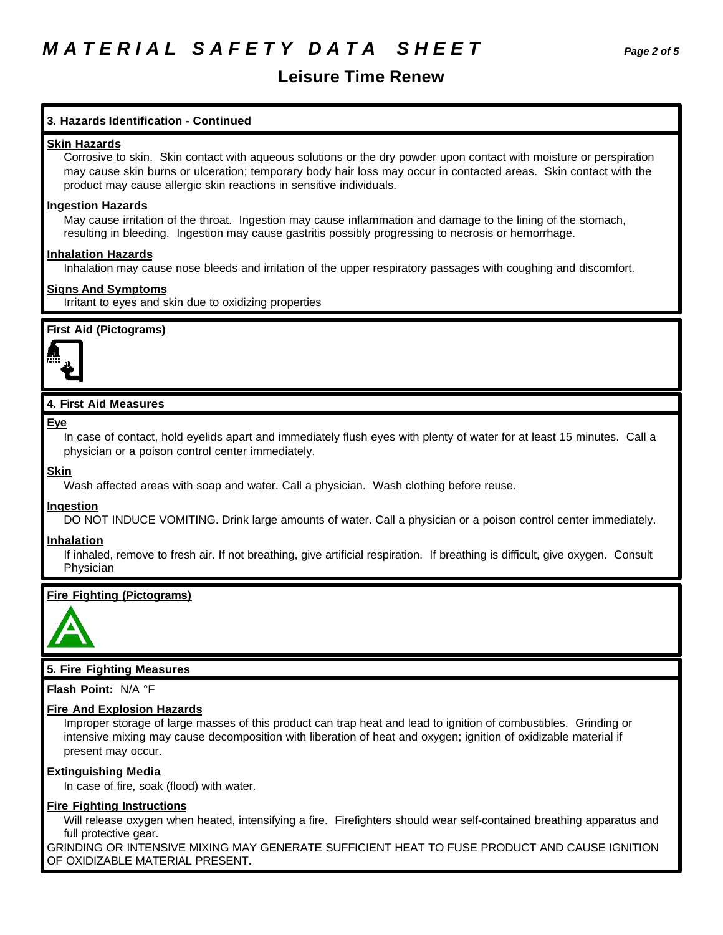# **Leisure Time Renew**

# **3. Hazards Identification - Continued**

#### **Skin Hazards**

Corrosive to skin. Skin contact with aqueous solutions or the dry powder upon contact with moisture or perspiration may cause skin burns or ulceration; temporary body hair loss may occur in contacted areas. Skin contact with the product may cause allergic skin reactions in sensitive individuals.

### **Ingestion Hazards**

May cause irritation of the throat. Ingestion may cause inflammation and damage to the lining of the stomach, resulting in bleeding. Ingestion may cause gastritis possibly progressing to necrosis or hemorrhage.

### **Inhalation Hazards**

Inhalation may cause nose bleeds and irritation of the upper respiratory passages with coughing and discomfort.

### **Signs And Symptoms**

Irritant to eyes and skin due to oxidizing properties

## **First Aid (Pictograms)**



## **4. First Aid Measures**

#### **Eye**

In case of contact, hold eyelids apart and immediately flush eyes with plenty of water for at least 15 minutes. Call a physician or a poison control center immediately.

#### **Skin**

Wash affected areas with soap and water. Call a physician. Wash clothing before reuse.

## **Ingestion**

DO NOT INDUCE VOMITING. Drink large amounts of water. Call a physician or a poison control center immediately.

#### **Inhalation**

If inhaled, remove to fresh air. If not breathing, give artificial respiration. If breathing is difficult, give oxygen. Consult Physician

## **Fire Fighting (Pictograms)**



## **5. Fire Fighting Measures**

**Flash Point:** N/A °F

#### **Fire And Explosion Hazards**

Improper storage of large masses of this product can trap heat and lead to ignition of combustibles. Grinding or intensive mixing may cause decomposition with liberation of heat and oxygen; ignition of oxidizable material if present may occur.

#### **Extinguishing Media**

In case of fire, soak (flood) with water.

## **Fire Fighting Instructions**

Will release oxygen when heated, intensifying a fire. Firefighters should wear self-contained breathing apparatus and full protective gear.

GRINDING OR INTENSIVE MIXING MAY GENERATE SUFFICIENT HEAT TO FUSE PRODUCT AND CAUSE IGNITION OF OXIDIZABLE MATERIAL PRESENT.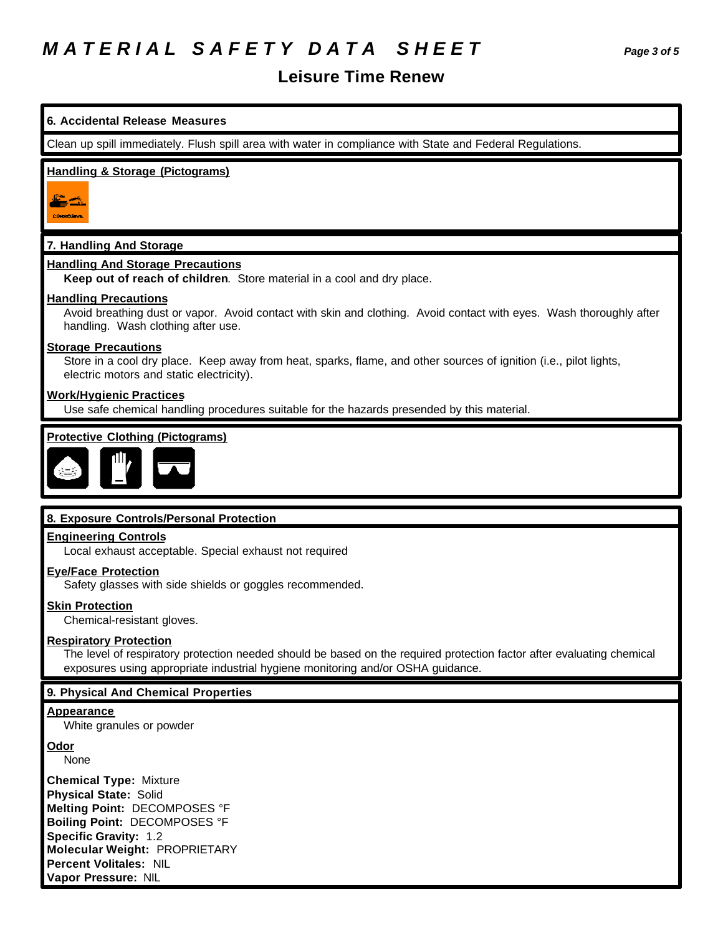# **Leisure Time Renew**



None

**Chemical Type:** Mixture **Physical State:** Solid **Melting Point:** DECOMPOSES °F **Boiling Point:** DECOMPOSES °F **Specific Gravity:** 1.2 **Molecular Weight:** PROPRIETARY **Percent Volitales:** NIL **Vapor Pressure:** NIL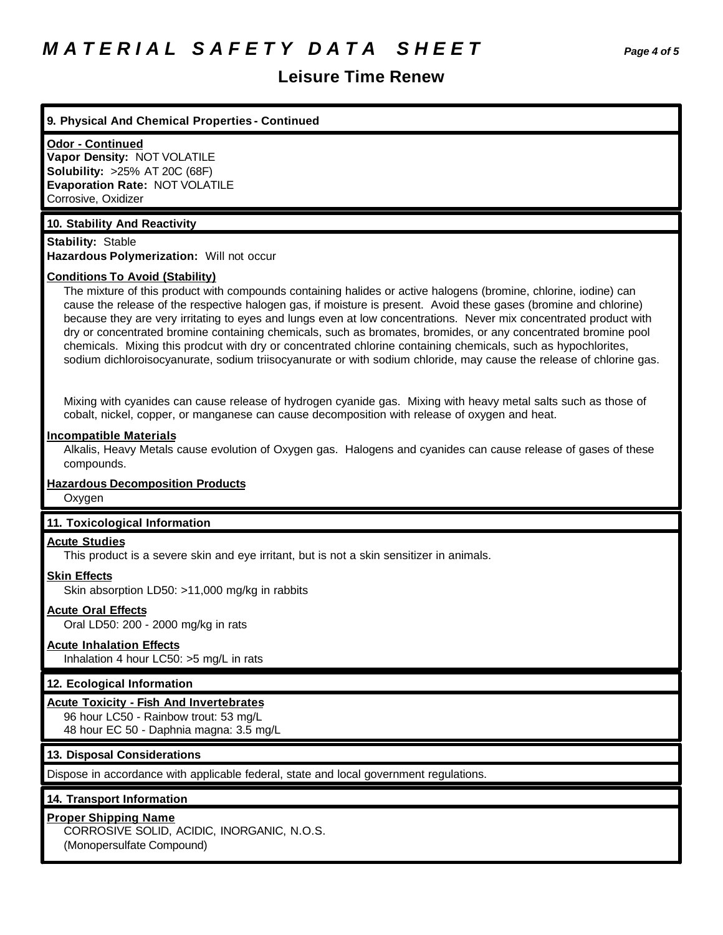# *M A T E R I A L S A F E T Y D A T A S H E E T Page 4 of 5*

# **Leisure Time Renew**

#### **9. Physical And Chemical Properties - Continued**

#### **Odor - Continued**

**Vapor Density:** NOT VOLATILE **Solubility:** >25% AT 20C (68F) **Evaporation Rate:** NOT VOLATILE Corrosive, Oxidizer

### **10. Stability And Reactivity**

**Stability:** Stable **Hazardous Polymerization:** Will not occur

#### **Conditions To Avoid (Stability)**

The mixture of this product with compounds containing halides or active halogens (bromine, chlorine, iodine) can cause the release of the respective halogen gas, if moisture is present. Avoid these gases (bromine and chlorine) because they are very irritating to eyes and lungs even at low concentrations. Never mix concentrated product with dry or concentrated bromine containing chemicals, such as bromates, bromides, or any concentrated bromine pool chemicals. Mixing this prodcut with dry or concentrated chlorine containing chemicals, such as hypochlorites, sodium dichloroisocyanurate, sodium triisocyanurate or with sodium chloride, may cause the release of chlorine gas.

Mixing with cyanides can cause release of hydrogen cyanide gas. Mixing with heavy metal salts such as those of cobalt, nickel, copper, or manganese can cause decomposition with release of oxygen and heat.

#### **Incompatible Materials**

Alkalis, Heavy Metals cause evolution of Oxygen gas. Halogens and cyanides can cause release of gases of these compounds.

# **Hazardous Decomposition Products**

**Oxygen** 

#### **11. Toxicological Information**

#### **Acute Studies**

This product is a severe skin and eye irritant, but is not a skin sensitizer in animals.

# **Skin Effects**

Skin absorption LD50: >11,000 mg/kg in rabbits

### **Acute Oral Effects**

Oral LD50: 200 - 2000 mg/kg in rats

#### **Acute Inhalation Effects**

Inhalation 4 hour LC50: >5 mg/L in rats

#### **12. Ecological Information**

#### **Acute Toxicity - Fish And Invertebrates**

96 hour LC50 - Rainbow trout: 53 mg/L 48 hour EC 50 - Daphnia magna: 3.5 mg/L

### **13. Disposal Considerations**

Dispose in accordance with applicable federal, state and local government regulations.

#### **14. Transport Information**

## **Proper Shipping Name**

CORROSIVE SOLID, ACIDIC, INORGANIC, N.O.S. (Monopersulfate Compound)